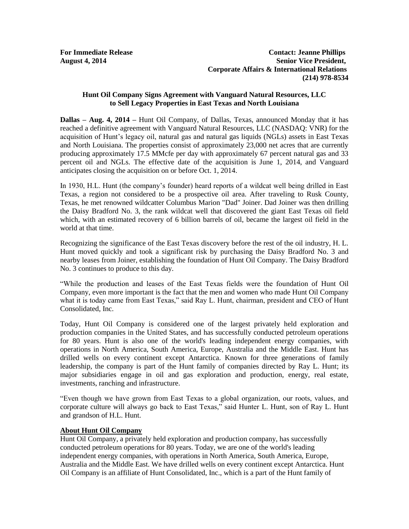## **Hunt Oil Company Signs Agreement with Vanguard Natural Resources, LLC to Sell Legacy Properties in East Texas and North Louisiana**

**Dallas – Aug. 4, 2014 –** Hunt Oil Company, of Dallas, Texas, announced Monday that it has reached a definitive agreement with Vanguard Natural Resources, LLC (NASDAQ: VNR) for the acquisition of Hunt's legacy oil, natural gas and natural gas liquids (NGLs) assets in East Texas and North Louisiana. The properties consist of approximately 23,000 net acres that are currently producing approximately 17.5 MMcfe per day with approximately 67 percent natural gas and 33 percent oil and NGLs. The effective date of the acquisition is June 1, 2014, and Vanguard anticipates closing the acquisition on or before Oct. 1, 2014.

In 1930, H.L. Hunt (the company's founder) heard reports of a wildcat well being drilled in East Texas, a region not considered to be a prospective oil area. After traveling to Rusk County, Texas, he met renowned wildcatter Columbus Marion "Dad" Joiner. Dad Joiner was then drilling the Daisy Bradford No. 3, the rank wildcat well that discovered the giant East Texas oil field which, with an estimated recovery of 6 billion barrels of oil, became the largest oil field in the world at that time.

Recognizing the significance of the East Texas discovery before the rest of the oil industry, H. L. Hunt moved quickly and took a significant risk by purchasing the Daisy Bradford No. 3 and nearby leases from Joiner, establishing the foundation of Hunt Oil Company. The Daisy Bradford No. 3 continues to produce to this day.

"While the production and leases of the East Texas fields were the foundation of Hunt Oil Company, even more important is the fact that the men and women who made Hunt Oil Company what it is today came from East Texas," said Ray L. Hunt, chairman, president and CEO of Hunt Consolidated, Inc.

Today, Hunt Oil Company is considered one of the largest privately held exploration and production companies in the United States, and has successfully conducted petroleum operations for 80 years. Hunt is also one of the world's leading independent energy companies, with operations in North America, South America, Europe, Australia and the Middle East. Hunt has drilled wells on every continent except Antarctica. Known for three generations of family leadership, the company is part of the Hunt family of companies directed by Ray L. Hunt; its major subsidiaries engage in oil and gas exploration and production, energy, real estate, investments, ranching and infrastructure.

"Even though we have grown from East Texas to a global organization, our roots, values, and corporate culture will always go back to East Texas," said Hunter L. Hunt, son of Ray L. Hunt and grandson of H.L. Hunt.

## **About Hunt Oil Company**

Hunt Oil Company, a privately held exploration and production company, has successfully conducted petroleum operations for 80 years. Today, we are one of the world's leading independent energy companies, with operations in North America, South America, Europe, Australia and the Middle East. We have drilled wells on every continent except Antarctica. Hunt Oil Company is an affiliate of Hunt Consolidated, Inc., which is a part of the Hunt family of